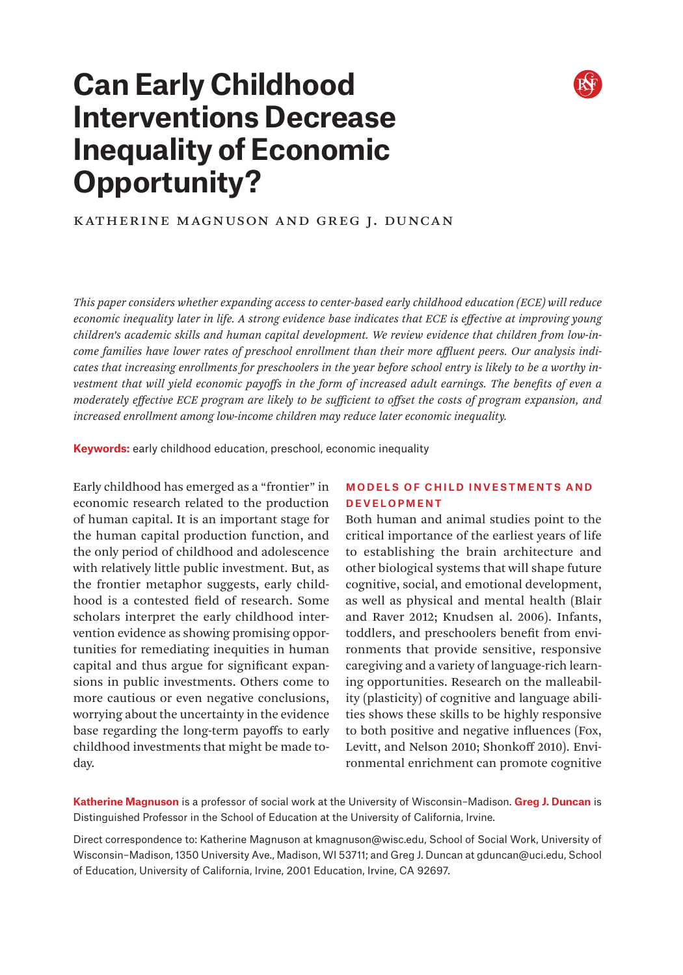

# **Can Early Childhood Interventions Decrease Inequality of Economic Opportunity?**

# Katherine Magnuson and Greg J. Duncan

*This paper considers whether expanding access to center-based early childhood education (ECE) will reduce economic inequality later in life. A strong evidence base indicates that ECE is effective at improving young children's academic skills and human capital development. We review evidence that children from low-income families have lower rates of preschool enrollment than their more affluent peers. Our analysis indicates that increasing enrollments for preschoolers in the year before school entry is likely to be a worthy investment that will yield economic payoffs in the form of increased adult earnings. The benefits of even a moderately effective ECE program are likely to be sufficient to offset the costs of program expansion, and increased enrollment among low-income children may reduce later economic inequality.*

**Keywords:** early childhood education, preschool, economic inequality

Early childhood has emerged as a "frontier" in economic research related to the production of human capital. It is an important stage for the human capital production function, and the only period of childhood and adolescence with relatively little public investment. But, as the frontier metaphor suggests, early childhood is a contested field of research. Some scholars interpret the early childhood intervention evidence as showing promising opportunities for remediating inequities in human capital and thus argue for significant expansions in public investments. Others come to more cautious or even negative conclusions, worrying about the uncertainty in the evidence base regarding the long-term payoffs to early childhood investments that might be made today.

### Models of Child Investments and Development

Both human and animal studies point to the critical importance of the earliest years of life to establishing the brain architecture and other biological systems that will shape future cognitive, social, and emotional development, as well as physical and mental health (Blair and Raver 2012; Knudsen al. 2006). Infants, toddlers, and preschoolers benefit from environments that provide sensitive, responsive caregiving and a variety of language-rich learning opportunities. Research on the malleability (plasticity) of cognitive and language abilities shows these skills to be highly responsive to both positive and negative influences (Fox, Levitt, and Nelson 2010; Shonkoff 2010). Environmental enrichment can promote cognitive

**Katherine Magnuson** is a professor of social work at the University of Wisconsin–Madison. **Greg J. Duncan** is Distinguished Professor in the School of Education at the University of California, Irvine.

Direct correspondence to: Katherine Magnuson at kmagnuson@wisc.edu, School of Social Work, University of Wisconsin–Madison, 1350 University Ave., Madison, WI 53711; and Greg J. Duncan at gduncan@uci.edu, School of Education, University of California, Irvine, 2001 Education, Irvine, CA 92697.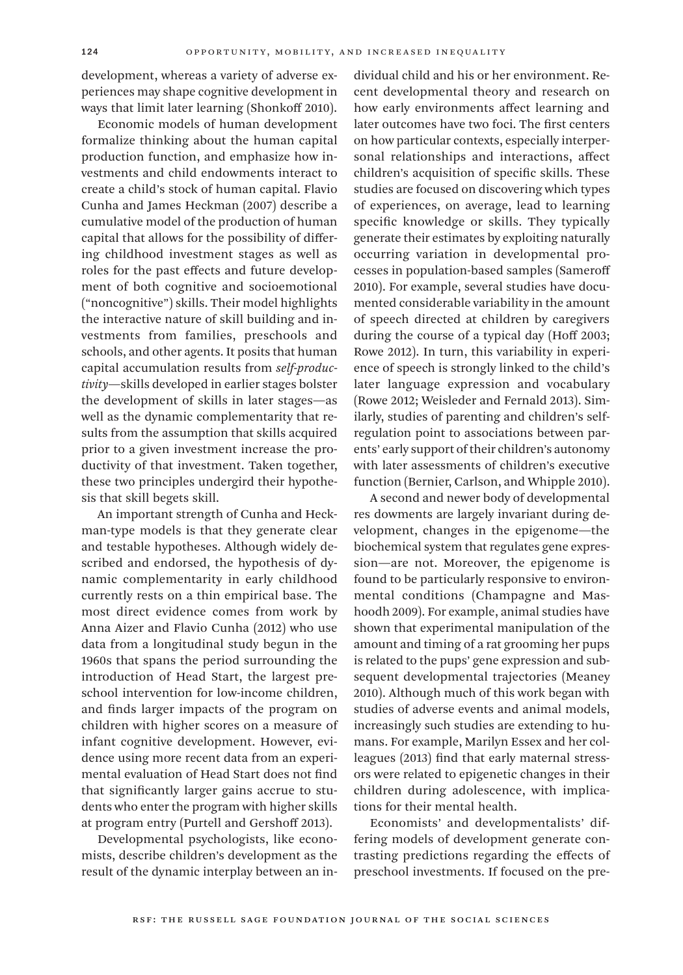development, whereas a variety of adverse experiences may shape cognitive development in ways that limit later learning (Shonkoff 2010).

Economic models of human development formalize thinking about the human capital production function, and emphasize how investments and child endowments interact to create a child's stock of human capital. Flavio Cunha and James Heckman (2007) describe a cumulative model of the production of human capital that allows for the possibility of differing childhood investment stages as well as roles for the past effects and future development of both cognitive and socioemotional ("noncognitive") skills. Their model highlights the interactive nature of skill building and investments from families, preschools and schools, and other agents. It posits that human capital accumulation results from *self-productivity*—skills developed in earlier stages bolster the development of skills in later stages—as well as the dynamic complementarity that results from the assumption that skills acquired prior to a given investment increase the productivity of that investment. Taken together, these two principles undergird their hypothesis that skill begets skill.

An important strength of Cunha and Heckman-type models is that they generate clear and testable hypotheses. Although widely described and endorsed, the hypothesis of dynamic complementarity in early childhood currently rests on a thin empirical base. The most direct evidence comes from work by Anna Aizer and Flavio Cunha (2012) who use data from a longitudinal study begun in the 1960s that spans the period surrounding the introduction of Head Start, the largest preschool intervention for low-income children, and finds larger impacts of the program on children with higher scores on a measure of infant cognitive development. However, evidence using more recent data from an experimental evaluation of Head Start does not find that significantly larger gains accrue to students who enter the program with higher skills at program entry (Purtell and Gershoff 2013).

Developmental psychologists, like economists, describe children's development as the result of the dynamic interplay between an individual child and his or her environment. Recent developmental theory and research on how early environments affect learning and later outcomes have two foci. The first centers on how particular contexts, especially interpersonal relationships and interactions, affect children's acquisition of specific skills. These studies are focused on discovering which types of experiences, on average, lead to learning specific knowledge or skills. They typically generate their estimates by exploiting naturally occurring variation in developmental processes in population-based samples (Sameroff 2010). For example, several studies have documented considerable variability in the amount of speech directed at children by caregivers during the course of a typical day (Hoff 2003; Rowe 2012). In turn, this variability in experience of speech is strongly linked to the child's later language expression and vocabulary (Rowe 2012; Weisleder and Fernald 2013). Similarly, studies of parenting and children's selfregulation point to associations between parents' early support of their children's autonomy with later assessments of children's executive function (Bernier, Carlson, and Whipple 2010).

A second and newer body of developmental res dowments are largely invariant during development, changes in the epigenome—the biochemical system that regulates gene expression—are not. Moreover, the epigenome is found to be particularly responsive to environmental conditions (Champagne and Mashoodh 2009). For example, animal studies have shown that experimental manipulation of the amount and timing of a rat grooming her pups is related to the pups' gene expression and subsequent developmental trajectories (Meaney 2010). Although much of this work began with studies of adverse events and animal models, increasingly such studies are extending to humans. For example, Marilyn Essex and her colleagues (2013) find that early maternal stressors were related to epigenetic changes in their children during adolescence, with implications for their mental health.

Economists' and developmentalists' differing models of development generate contrasting predictions regarding the effects of preschool investments. If focused on the pre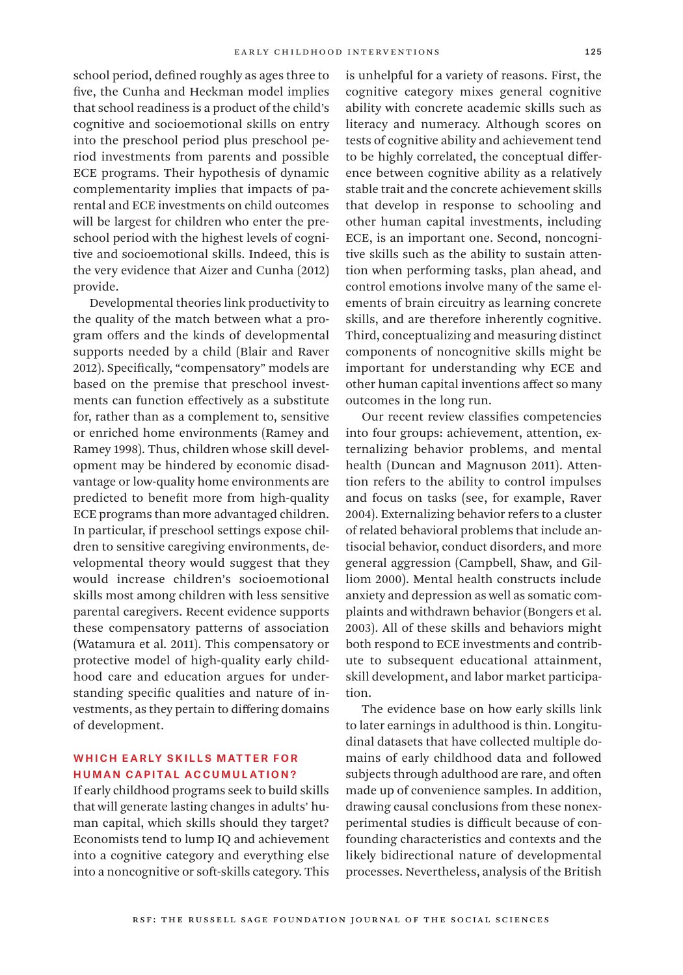school period, defined roughly as ages three to five, the Cunha and Heckman model implies that school readiness is a product of the child's cognitive and socioemotional skills on entry into the preschool period plus preschool period investments from parents and possible ECE programs. Their hypothesis of dynamic complementarity implies that impacts of parental and ECE investments on child outcomes will be largest for children who enter the preschool period with the highest levels of cognitive and socioemotional skills. Indeed, this is the very evidence that Aizer and Cunha (2012) provide.

Developmental theories link productivity to the quality of the match between what a program offers and the kinds of developmental supports needed by a child (Blair and Raver 2012). Specifically, "compensatory" models are based on the premise that preschool investments can function effectively as a substitute for, rather than as a complement to, sensitive or enriched home environments (Ramey and Ramey 1998). Thus, children whose skill development may be hindered by economic disadvantage or low-quality home environments are predicted to benefit more from high-quality ECE programs than more advantaged children. In particular, if preschool settings expose children to sensitive caregiving environments, developmental theory would suggest that they would increase children's socioemotional skills most among children with less sensitive parental caregivers. Recent evidence supports these compensatory patterns of association (Watamura et al. 2011). This compensatory or protective model of high-quality early childhood care and education argues for understanding specific qualities and nature of investments, as they pertain to differing domains of development.

# WHICH EARLY SKILLS MATTER FOR Human Capital Accumulation?

If early childhood programs seek to build skills that will generate lasting changes in adults' human capital, which skills should they target? Economists tend to lump IQ and achievement into a cognitive category and everything else into a noncognitive or soft-skills category. This

is unhelpful for a variety of reasons. First, the cognitive category mixes general cognitive ability with concrete academic skills such as literacy and numeracy. Although scores on tests of cognitive ability and achievement tend to be highly correlated, the conceptual difference between cognitive ability as a relatively stable trait and the concrete achievement skills that develop in response to schooling and other human capital investments, including ECE, is an important one. Second, noncognitive skills such as the ability to sustain attention when performing tasks, plan ahead, and control emotions involve many of the same elements of brain circuitry as learning concrete skills, and are therefore inherently cognitive. Third, conceptualizing and measuring distinct components of noncognitive skills might be important for understanding why ECE and other human capital inventions affect so many outcomes in the long run.

Our recent review classifies competencies into four groups: achievement, attention, externalizing behavior problems, and mental health (Duncan and Magnuson 2011). Attention refers to the ability to control impulses and focus on tasks (see, for example, Raver 2004). Externalizing behavior refers to a cluster of related behavioral problems that include antisocial behavior, conduct disorders, and more general aggression (Campbell, Shaw, and Gilliom 2000). Mental health constructs include anxiety and depression as well as somatic complaints and withdrawn behavior (Bongers et al. 2003). All of these skills and behaviors might both respond to ECE investments and contribute to subsequent educational attainment, skill development, and labor market participation.

The evidence base on how early skills link to later earnings in adulthood is thin. Longitudinal datasets that have collected multiple domains of early childhood data and followed subjects through adulthood are rare, and often made up of convenience samples. In addition, drawing causal conclusions from these nonexperimental studies is difficult because of confounding characteristics and contexts and the likely bidirectional nature of developmental processes. Nevertheless, analysis of the British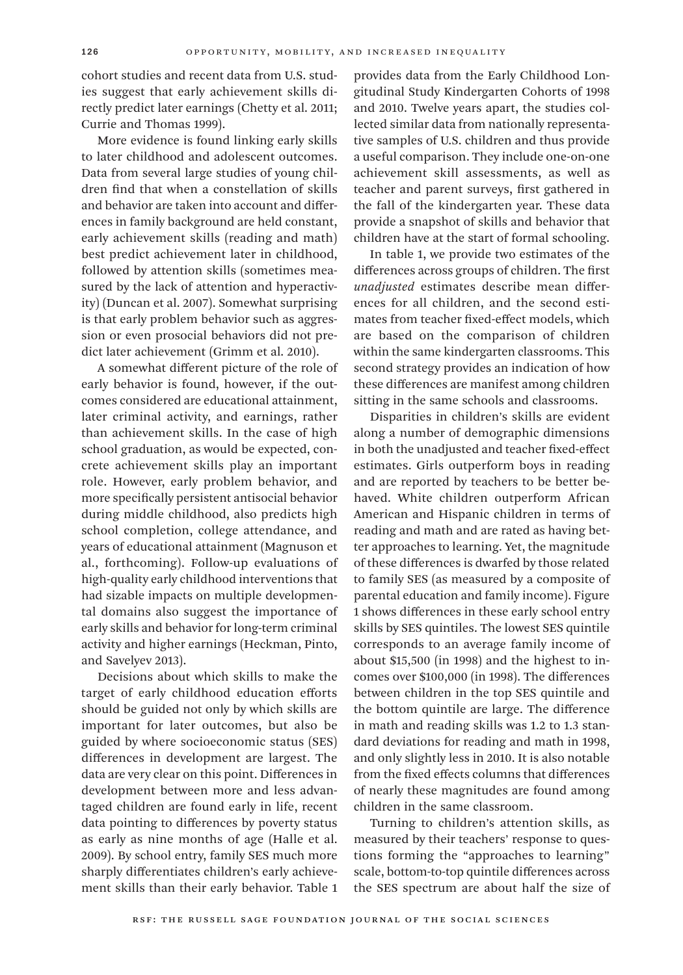cohort studies and recent data from U.S. studies suggest that early achievement skills directly predict later earnings (Chetty et al. 2011; Currie and Thomas 1999).

More evidence is found linking early skills to later childhood and adolescent outcomes. Data from several large studies of young children find that when a constellation of skills and behavior are taken into account and differences in family background are held constant, early achievement skills (reading and math) best predict achievement later in childhood, followed by attention skills (sometimes measured by the lack of attention and hyperactivity) (Duncan et al. 2007). Somewhat surprising is that early problem behavior such as aggression or even prosocial behaviors did not predict later achievement (Grimm et al. 2010).

A somewhat different picture of the role of early behavior is found, however, if the outcomes considered are educational attainment, later criminal activity, and earnings, rather than achievement skills. In the case of high school graduation, as would be expected, concrete achievement skills play an important role. However, early problem behavior, and more specifically persistent antisocial behavior during middle childhood, also predicts high school completion, college attendance, and years of educational attainment (Magnuson et al., forthcoming). Follow-up evaluations of high-quality early childhood interventions that had sizable impacts on multiple developmental domains also suggest the importance of early skills and behavior for long-term criminal activity and higher earnings (Heckman, Pinto, and Savelyev 2013).

Decisions about which skills to make the target of early childhood education efforts should be guided not only by which skills are important for later outcomes, but also be guided by where socioeconomic status (SES) differences in development are largest. The data are very clear on this point. Differences in development between more and less advantaged children are found early in life, recent data pointing to differences by poverty status as early as nine months of age (Halle et al. 2009). By school entry, family SES much more sharply differentiates children's early achievement skills than their early behavior. Table 1

provides data from the Early Childhood Longitudinal Study Kindergarten Cohorts of 1998 and 2010. Twelve years apart, the studies collected similar data from nationally representative samples of U.S. children and thus provide a useful comparison. They include one-on-one achievement skill assessments, as well as teacher and parent surveys, first gathered in the fall of the kindergarten year. These data provide a snapshot of skills and behavior that children have at the start of formal schooling.

In table 1, we provide two estimates of the differences across groups of children. The first *unadjusted* estimates describe mean differences for all children, and the second estimates from teacher fixed-effect models, which are based on the comparison of children within the same kindergarten classrooms. This second strategy provides an indication of how these differences are manifest among children sitting in the same schools and classrooms.

Disparities in children's skills are evident along a number of demographic dimensions in both the unadjusted and teacher fixed-effect estimates. Girls outperform boys in reading and are reported by teachers to be better behaved. White children outperform African American and Hispanic children in terms of reading and math and are rated as having better approaches to learning. Yet, the magnitude of these differences is dwarfed by those related to family SES (as measured by a composite of parental education and family income). Figure 1 shows differences in these early school entry skills by SES quintiles. The lowest SES quintile corresponds to an average family income of about \$15,500 (in 1998) and the highest to incomes over \$100,000 (in 1998). The differences between children in the top SES quintile and the bottom quintile are large. The difference in math and reading skills was 1.2 to 1.3 standard deviations for reading and math in 1998, and only slightly less in 2010. It is also notable from the fixed effects columns that differences of nearly these magnitudes are found among children in the same classroom.

Turning to children's attention skills, as measured by their teachers' response to questions forming the "approaches to learning" scale, bottom-to-top quintile differences across the SES spectrum are about half the size of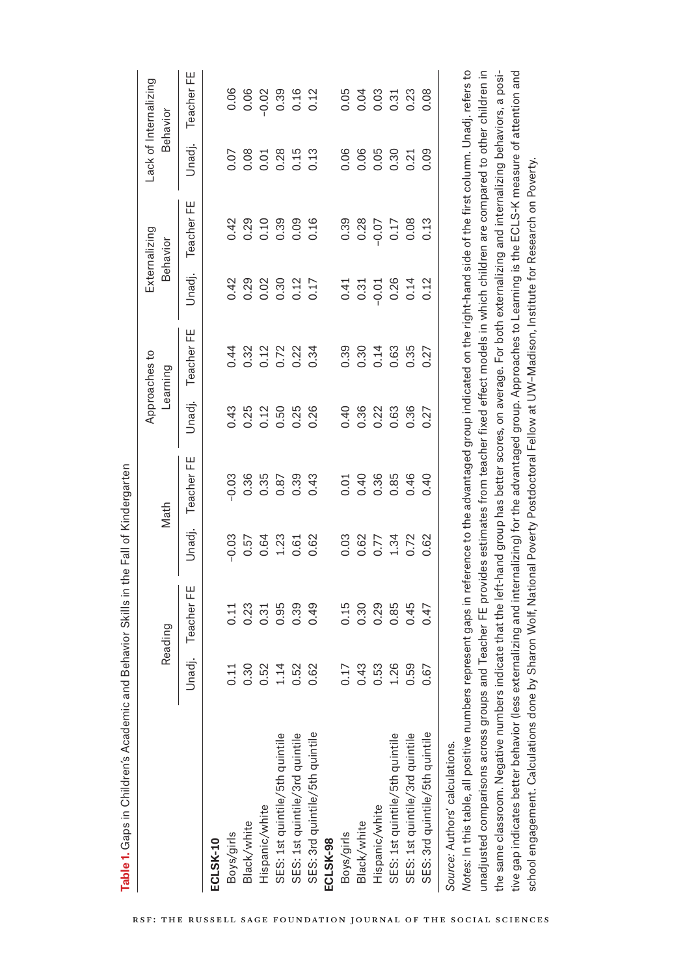|                                                                      |                                    | Reading                    |                                                  | Math                     |                                                 | Approaches to<br>Learning |                                           | Externalizing<br>Behavior |                             | Lack of Internalizing<br><b>Behavior</b> |
|----------------------------------------------------------------------|------------------------------------|----------------------------|--------------------------------------------------|--------------------------|-------------------------------------------------|---------------------------|-------------------------------------------|---------------------------|-----------------------------|------------------------------------------|
|                                                                      | Unadj.                             | Teacher FE                 | Unadj.                                           | Teacher FE               | Unadj.                                          | Teacher FE                | Unadj.                                    | Teacher FE                | Unadj.                      | Teacher FE                               |
| ECLSK-10                                                             |                                    |                            |                                                  |                          |                                                 |                           |                                           |                           |                             |                                          |
| Boys/girls                                                           |                                    |                            |                                                  |                          |                                                 |                           |                                           |                           |                             |                                          |
| Black/white                                                          | $0.387488$<br>$0.387488$<br>$0.62$ |                            | $0.574300$<br>$0.543000$<br>$0.54300$            |                          | 4 3 4 5 4 5 4 5 6<br>6 6 7 5 6 7 6<br>6 6 6 6 6 |                           |                                           |                           | $0.8018013$<br>$0.00000000$ |                                          |
| Hispanic/white                                                       |                                    |                            |                                                  |                          |                                                 |                           |                                           |                           |                             |                                          |
| SES: 1st quintile/5th quintile                                       |                                    |                            |                                                  |                          |                                                 |                           |                                           |                           |                             |                                          |
| SES: 1st quintile/3rd quintile                                       |                                    |                            |                                                  |                          |                                                 |                           |                                           |                           |                             |                                          |
| SES: 3rd quintile/5th quintile                                       |                                    | 0.49                       |                                                  |                          |                                                 |                           |                                           |                           |                             |                                          |
| ECLSK-98                                                             |                                    |                            |                                                  |                          |                                                 |                           |                                           |                           |                             |                                          |
| Boys/girls                                                           |                                    |                            |                                                  |                          |                                                 |                           |                                           |                           |                             |                                          |
| Black/white                                                          |                                    | $0.30$<br>$0.30$<br>$0.29$ |                                                  |                          |                                                 |                           |                                           |                           |                             |                                          |
| Hispanic/white                                                       |                                    |                            |                                                  |                          |                                                 |                           |                                           |                           |                             |                                          |
| SES: 1st quintile/5th quintile                                       | 113<br>113<br>0001000<br>000100    |                            | 0<br>0 0 0 7 3 7 8<br>0 0 0 1 0 0<br>0 0 0 1 0 0 | $0.408846$<br>$0.408846$ |                                                 | $0.304887$<br>$0.0000000$ | $0.31$ $0.26$ $0.26$ $0.12$ $0.24$ $0.12$ |                           | 8888238                     |                                          |
| SES: 1st quintile/3rd quintile                                       |                                    | 0.85<br>0.45<br>0.47       |                                                  |                          |                                                 |                           |                                           |                           |                             |                                          |
| SES: 3rd quintile/5th quintile                                       |                                    |                            |                                                  | 0.40                     |                                                 |                           |                                           |                           |                             |                                          |
| 医阿尔伯氏征 医阿尔伯氏征 医阿尔伯氏征 医阿尔伯氏征 医血管切除术<br>Source: Authors' calculations. |                                    |                            |                                                  |                          |                                                 |                           |                                           |                           |                             |                                          |

*Notes:* In this table, all positive numbers represent gaps in reference to the advantaged group indicated on the right-hand side of the first column. Unadj. refers to Notes: In this table, all positive numbers represent gaps in reference to the advantaged group indicated on the right-hand side of the first column. Unadj. refers to unadjusted comparisons across groups and Teacher FE provides estimates from teacher fixed effect models in which children are compared to other children in unadjusted comparisons across groups and Teacher FE provides estimates from teacher fixed effect models in which children are compared to other children in the same classroom. Negative numbers indicate that the left-hand group has better scores, on average. For both externalizing and internalizing behaviors, a positive gap indicates better behavior (less externalizing and internalizing) for the advantaged group. Approaches to Learning is the ECLS-K measure of attention and tive gap indicates better behavior (less externalizing and internalizing) for the advantaged group. Approaches to Learning is the ECLS-K measure of attention and the same classroom. Negative numbers indicate that the left-hand group has better scores, on average. For both externalizing and internalizing behaviors, a posischool engagement. Calculations done by Sharon Wolf, National Poverty Postdoctoral Fellow at UW-Madison, Institute for Research on Poverty. school engagement. Calculations done by Sharon Wolf, National Poverty Postdoctoral Fellow at UW–Madison, Institute for Research on Poverty.

Table 1. Gaps in Children's Academic and Behavior Skills in the Fall of Kindergarten **Table 1.** Gaps in Children's Academic and Behavior Skills in the Fall of Kindergarten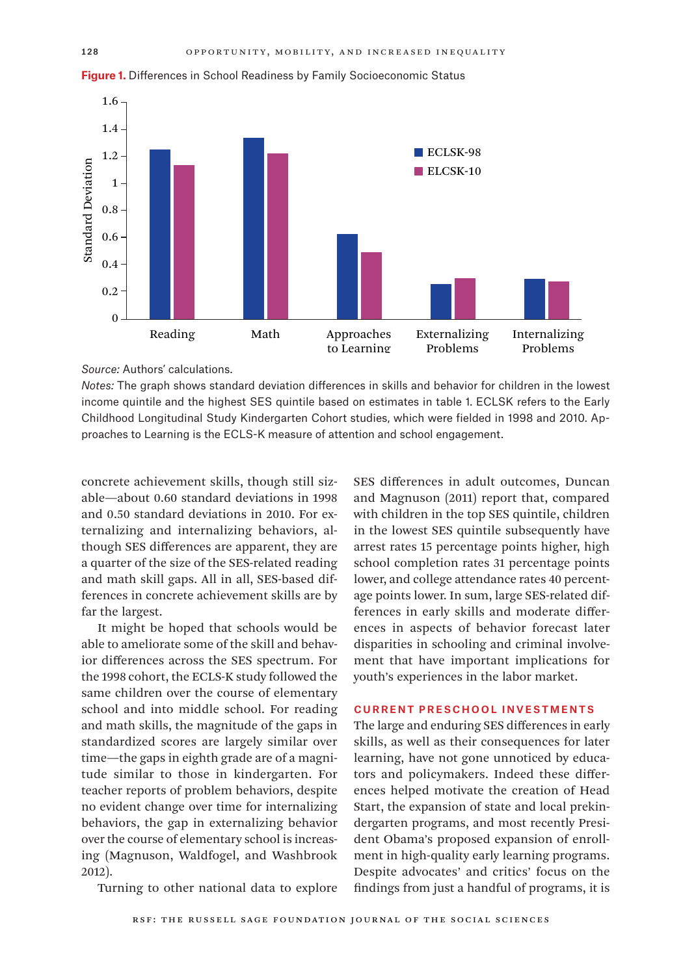

**Figure 1.** Differences in School Readiness by Family Socioeconomic Status

*Source:* Authors' calculations.

*Notes:* The graph shows standard deviation differences in skills and behavior for children in the lowest income quintile and the highest SES quintile based on estimates in table 1. ECLSK refers to the Early Childhood Longitudinal Study Kindergarten Cohort studies, which were fielded in 1998 and 2010. Approaches to Learning is the ECLS-K measure of attention and school engagement.

concrete achievement skills, though still sizable—about 0.60 standard deviations in 1998 and 0.50 standard deviations in 2010. For externalizing and internalizing behaviors, although SES differences are apparent, they are a quarter of the size of the SES-related reading and math skill gaps. All in all, SES-based differences in concrete achievement skills are by far the largest.

It might be hoped that schools would be able to ameliorate some of the skill and behavior differences across the SES spectrum. For the 1998 cohort, the ECLS-K study followed the same children over the course of elementary school and into middle school. For reading and math skills, the magnitude of the gaps in standardized scores are largely similar over time—the gaps in eighth grade are of a magnitude similar to those in kindergarten. For teacher reports of problem behaviors, despite no evident change over time for internalizing behaviors, the gap in externalizing behavior over the course of elementary school is increasing (Magnuson, Waldfogel, and Washbrook 2012).

Turning to other national data to explore

SES differences in adult outcomes, Duncan and Magnuson (2011) report that, compared with children in the top SES quintile, children in the lowest SES quintile subsequently have arrest rates 15 percentage points higher, high school completion rates 31 percentage points lower, and college attendance rates 40 percentage points lower. In sum, large SES-related differences in early skills and moderate differences in aspects of behavior forecast later disparities in schooling and criminal involvement that have important implications for youth's experiences in the labor market.

#### Current Preschool Investments

The large and enduring SES differences in early skills, as well as their consequences for later learning, have not gone unnoticed by educators and policymakers. Indeed these differences helped motivate the creation of Head Start, the expansion of state and local prekindergarten programs, and most recently President Obama's proposed expansion of enrollment in high-quality early learning programs. Despite advocates' and critics' focus on the findings from just a handful of programs, it is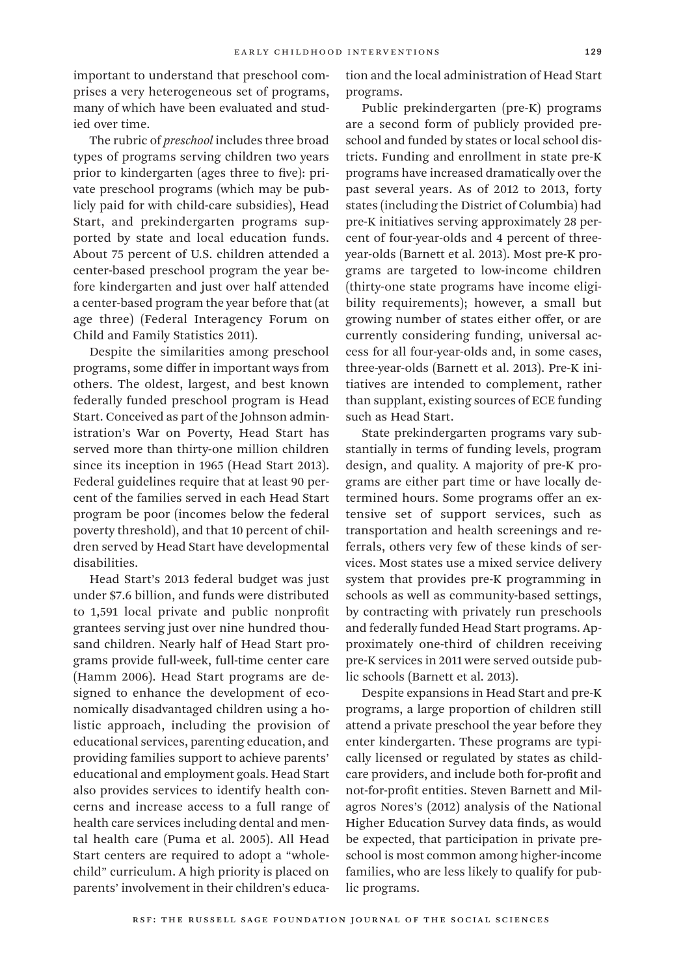important to understand that preschool comprises a very heterogeneous set of programs, many of which have been evaluated and studied over time.

The rubric of *preschool* includes three broad types of programs serving children two years prior to kindergarten (ages three to five): private preschool programs (which may be publicly paid for with child-care subsidies), Head Start, and prekindergarten programs supported by state and local education funds. About 75 percent of U.S. children attended a center-based preschool program the year before kindergarten and just over half attended a center-based program the year before that (at age three) (Federal Interagency Forum on Child and Family Statistics 2011).

Despite the similarities among preschool programs, some differ in important ways from others. The oldest, largest, and best known federally funded preschool program is Head Start. Conceived as part of the Johnson administration's War on Poverty, Head Start has served more than thirty-one million children since its inception in 1965 (Head Start 2013). Federal guidelines require that at least 90 percent of the families served in each Head Start program be poor (incomes below the federal poverty threshold), and that 10 percent of children served by Head Start have developmental disabilities.

Head Start's 2013 federal budget was just under \$7.6 billion, and funds were distributed to 1,591 local private and public nonprofit grantees serving just over nine hundred thousand children. Nearly half of Head Start programs provide full-week, full-time center care (Hamm 2006). Head Start programs are designed to enhance the development of economically disadvantaged children using a holistic approach, including the provision of educational services, parenting education, and providing families support to achieve parents' educational and employment goals. Head Start also provides services to identify health concerns and increase access to a full range of health care services including dental and mental health care (Puma et al. 2005). All Head Start centers are required to adopt a "wholechild" curriculum. A high priority is placed on parents' involvement in their children's education and the local administration of Head Start programs.

Public prekindergarten (pre-K) programs are a second form of publicly provided preschool and funded by states or local school districts. Funding and enrollment in state pre-K programs have increased dramatically over the past several years. As of 2012 to 2013, forty states (including the District of Columbia) had pre-K initiatives serving approximately 28 percent of four-year-olds and 4 percent of threeyear-olds (Barnett et al. 2013). Most pre-K programs are targeted to low-income children (thirty-one state programs have income eligibility requirements); however, a small but growing number of states either offer, or are currently considering funding, universal access for all four-year-olds and, in some cases, three-year-olds (Barnett et al. 2013). Pre-K initiatives are intended to complement, rather than supplant, existing sources of ECE funding such as Head Start.

State prekindergarten programs vary substantially in terms of funding levels, program design, and quality. A majority of pre-K programs are either part time or have locally determined hours. Some programs offer an extensive set of support services, such as transportation and health screenings and referrals, others very few of these kinds of services. Most states use a mixed service delivery system that provides pre-K programming in schools as well as community-based settings, by contracting with privately run preschools and federally funded Head Start programs. Approximately one-third of children receiving pre-K services in 2011 were served outside public schools (Barnett et al. 2013).

Despite expansions in Head Start and pre-K programs, a large proportion of children still attend a private preschool the year before they enter kindergarten. These programs are typically licensed or regulated by states as childcare providers, and include both for-profit and not-for-profit entities. Steven Barnett and Milagros Nores's (2012) analysis of the National Higher Education Survey data finds, as would be expected, that participation in private preschool is most common among higher-income families, who are less likely to qualify for public programs.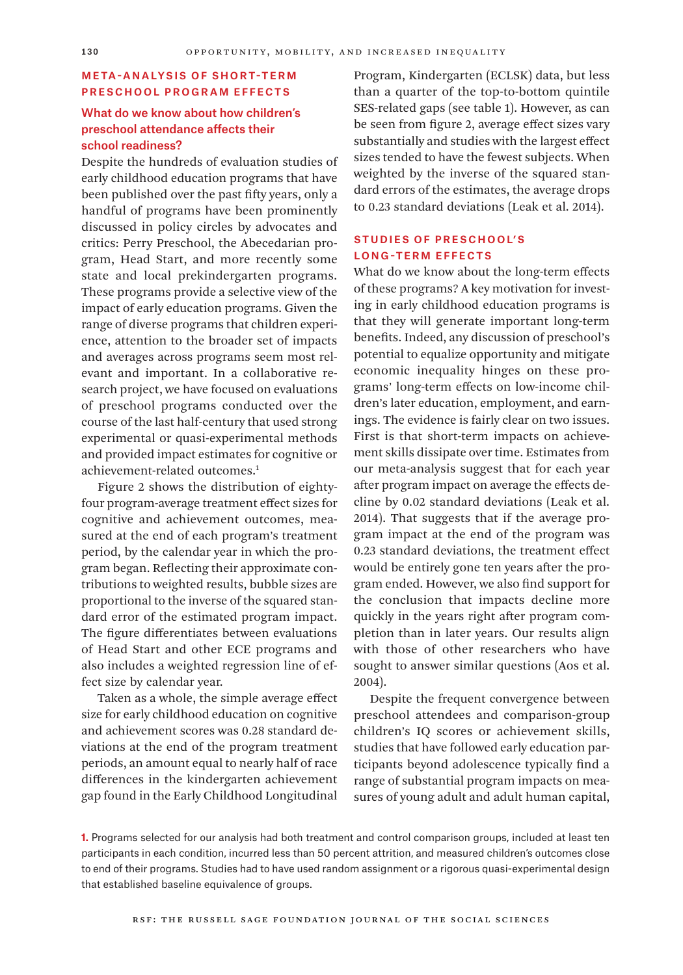### Meta-Analysis of Short-Term Preschool Program Effects

# What do we know about how children's preschool attendance affects their school readiness?

Despite the hundreds of evaluation studies of early childhood education programs that have been published over the past fifty years, only a handful of programs have been prominently discussed in policy circles by advocates and critics: Perry Preschool, the Abecedarian program, Head Start, and more recently some state and local prekindergarten programs. These programs provide a selective view of the impact of early education programs. Given the range of diverse programs that children experience, attention to the broader set of impacts and averages across programs seem most relevant and important. In a collaborative research project, we have focused on evaluations of preschool programs conducted over the course of the last half-century that used strong experimental or quasi-experimental methods and provided impact estimates for cognitive or achievement-related outcomes.1

Figure 2 shows the distribution of eightyfour program-average treatment effect sizes for cognitive and achievement outcomes, measured at the end of each program's treatment period, by the calendar year in which the program began. Reflecting their approximate contributions to weighted results, bubble sizes are proportional to the inverse of the squared standard error of the estimated program impact. The figure differentiates between evaluations of Head Start and other ECE programs and also includes a weighted regression line of effect size by calendar year.

Taken as a whole, the simple average effect size for early childhood education on cognitive and achievement scores was 0.28 standard deviations at the end of the program treatment periods, an amount equal to nearly half of race differences in the kindergarten achievement gap found in the Early Childhood Longitudinal

Program, Kindergarten (ECLSK) data, but less than a quarter of the top-to-bottom quintile SES-related gaps (see table 1). However, as can be seen from figure 2, average effect sizes vary substantially and studies with the largest effect sizes tended to have the fewest subjects. When weighted by the inverse of the squared standard errors of the estimates, the average drops to 0.23 standard deviations (Leak et al. 2014).

## Studies of Preschool's Long-Term Effects

What do we know about the long-term effects of these programs? A key motivation for investing in early childhood education programs is that they will generate important long-term benefits. Indeed, any discussion of preschool's potential to equalize opportunity and mitigate economic inequality hinges on these programs' long-term effects on low-income children's later education, employment, and earnings. The evidence is fairly clear on two issues. First is that short-term impacts on achievement skills dissipate over time. Estimates from our meta-analysis suggest that for each year after program impact on average the effects decline by 0.02 standard deviations (Leak et al. 2014). That suggests that if the average program impact at the end of the program was 0.23 standard deviations, the treatment effect would be entirely gone ten years after the program ended. However, we also find support for the conclusion that impacts decline more quickly in the years right after program completion than in later years. Our results align with those of other researchers who have sought to answer similar questions (Aos et al. 2004).

Despite the frequent convergence between preschool attendees and comparison-group children's IQ scores or achievement skills, studies that have followed early education participants beyond adolescence typically find a range of substantial program impacts on measures of young adult and adult human capital,

**1.** Programs selected for our analysis had both treatment and control comparison groups, included at least ten participants in each condition, incurred less than 50 percent attrition, and measured children's outcomes close to end of their programs. Studies had to have used random assignment or a rigorous quasi-experimental design that established baseline equivalence of groups.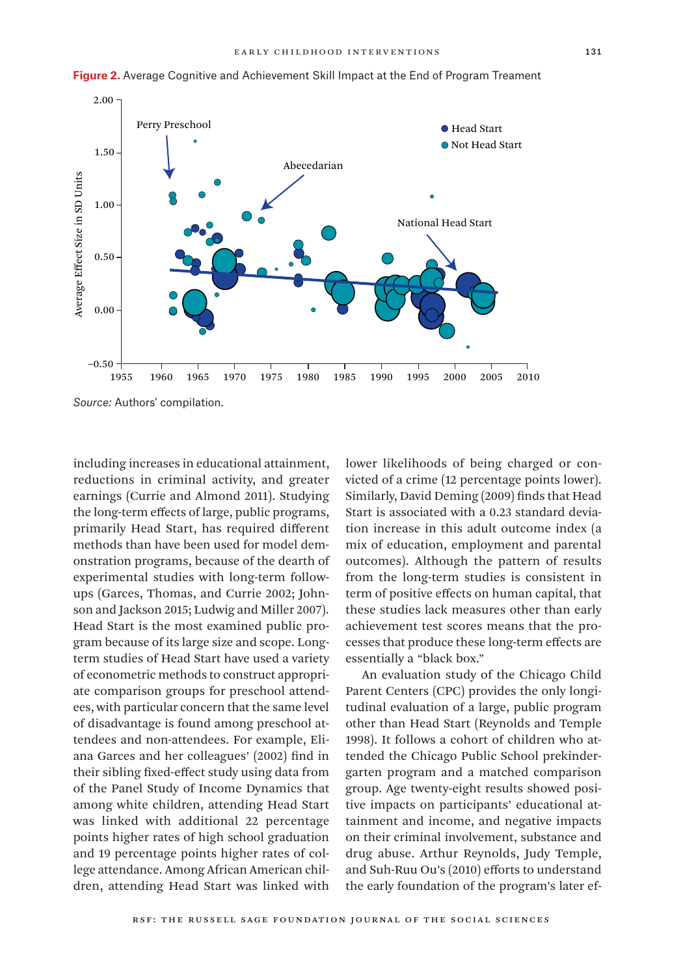



*Source:* Authors' compilation.

including increases in educational attainment, reductions in criminal activity, and greater earnings (Currie and Almond 2011). Studying the long-term effects of large, public programs, primarily Head Start, has required different methods than have been used for model demonstration programs, because of the dearth of experimental studies with long-term followups (Garces, Thomas, and Currie 2002; Johnson and Jackson 2015; Ludwig and Miller 2007). Head Start is the most examined public program because of its large size and scope. Longterm studies of Head Start have used a variety of econometric methods to construct appropriate comparison groups for preschool attendees, with particular concern that the same level of disadvantage is found among preschool attendees and non-attendees. For example, Eliana Garces and her colleagues' (2002) find in their sibling fixed-effect study using data from of the Panel Study of Income Dynamics that among white children, attending Head Start was linked with additional 22 percentage points higher rates of high school graduation and 19 percentage points higher rates of college attendance. Among African American children, attending Head Start was linked with

lower likelihoods of being charged or convicted of a crime (12 percentage points lower). Similarly, David Deming (2009) finds that Head Start is associated with a 0.23 standard deviation increase in this adult outcome index (a mix of education, employment and parental outcomes). Although the pattern of results from the long-term studies is consistent in term of positive effects on human capital, that these studies lack measures other than early achievement test scores means that the processes that produce these long-term effects are essentially a "black box."

An evaluation study of the Chicago Child Parent Centers (CPC) provides the only longitudinal evaluation of a large, public program other than Head Start (Reynolds and Temple 1998). It follows a cohort of children who attended the Chicago Public School prekindergarten program and a matched comparison group. Age twenty-eight results showed positive impacts on participants' educational attainment and income, and negative impacts on their criminal involvement, substance and drug abuse. Arthur Reynolds, Judy Temple, and Suh-Ruu Ou's (2010) efforts to understand the early foundation of the program's later ef-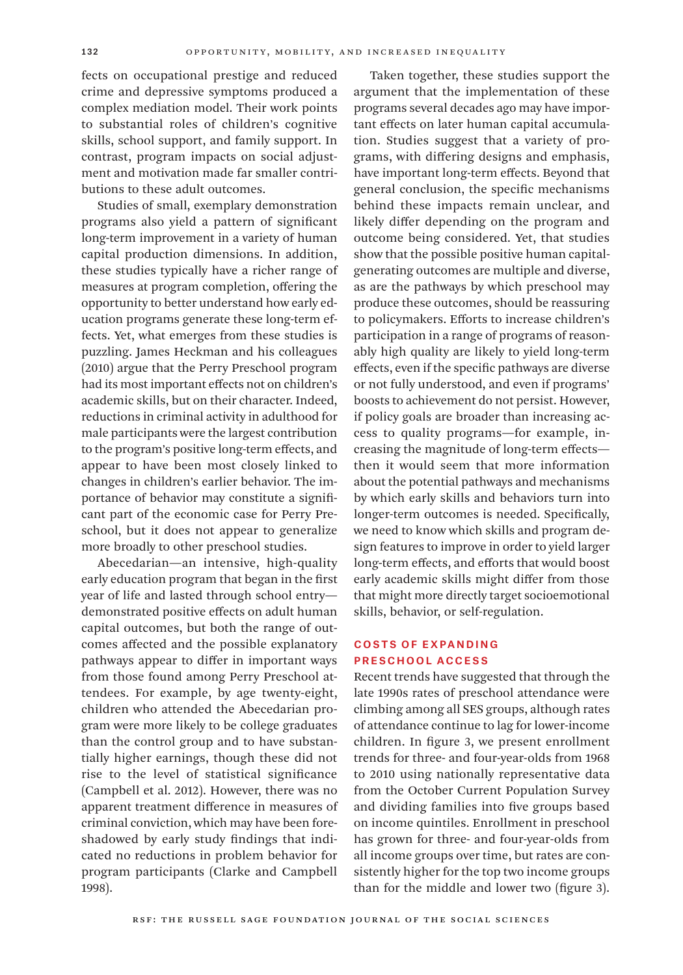fects on occupational prestige and reduced crime and depressive symptoms produced a complex mediation model. Their work points to substantial roles of children's cognitive skills, school support, and family support. In contrast, program impacts on social adjustment and motivation made far smaller contributions to these adult outcomes.

Studies of small, exemplary demonstration programs also yield a pattern of significant long-term improvement in a variety of human capital production dimensions. In addition, these studies typically have a richer range of measures at program completion, offering the opportunity to better understand how early education programs generate these long-term effects. Yet, what emerges from these studies is puzzling. James Heckman and his colleagues (2010) argue that the Perry Preschool program had its most important effects not on children's academic skills, but on their character. Indeed, reductions in criminal activity in adulthood for male participants were the largest contribution to the program's positive long-term effects, and appear to have been most closely linked to changes in children's earlier behavior. The importance of behavior may constitute a significant part of the economic case for Perry Preschool, but it does not appear to generalize more broadly to other preschool studies.

Abecedarian—an intensive, high-quality early education program that began in the first year of life and lasted through school entry demonstrated positive effects on adult human capital outcomes, but both the range of outcomes affected and the possible explanatory pathways appear to differ in important ways from those found among Perry Preschool attendees. For example, by age twenty-eight, children who attended the Abecedarian program were more likely to be college graduates than the control group and to have substantially higher earnings, though these did not rise to the level of statistical significance (Campbell et al. 2012). However, there was no apparent treatment difference in measures of criminal conviction, which may have been foreshadowed by early study findings that indicated no reductions in problem behavior for program participants (Clarke and Campbell 1998).

Taken together, these studies support the argument that the implementation of these programs several decades ago may have important effects on later human capital accumulation. Studies suggest that a variety of programs, with differing designs and emphasis, have important long-term effects. Beyond that general conclusion, the specific mechanisms behind these impacts remain unclear, and likely differ depending on the program and outcome being considered. Yet, that studies show that the possible positive human capitalgenerating outcomes are multiple and diverse, as are the pathways by which preschool may produce these outcomes, should be reassuring to policymakers. Efforts to increase children's participation in a range of programs of reasonably high quality are likely to yield long-term effects, even if the specific pathways are diverse or not fully understood, and even if programs' boosts to achievement do not persist. However, if policy goals are broader than increasing access to quality programs—for example, increasing the magnitude of long-term effects then it would seem that more information about the potential pathways and mechanisms by which early skills and behaviors turn into longer-term outcomes is needed. Specifically, we need to know which skills and program design features to improve in order to yield larger long-term effects, and efforts that would boost early academic skills might differ from those that might more directly target socioemotional skills, behavior, or self-regulation.

## Costs of Expanding Preschool Access

Recent trends have suggested that through the late 1990s rates of preschool attendance were climbing among all SES groups, although rates of attendance continue to lag for lower-income children. In figure 3, we present enrollment trends for three- and four-year-olds from 1968 to 2010 using nationally representative data from the October Current Population Survey and dividing families into five groups based on income quintiles. Enrollment in preschool has grown for three- and four-year-olds from all income groups over time, but rates are consistently higher for the top two income groups than for the middle and lower two (figure 3).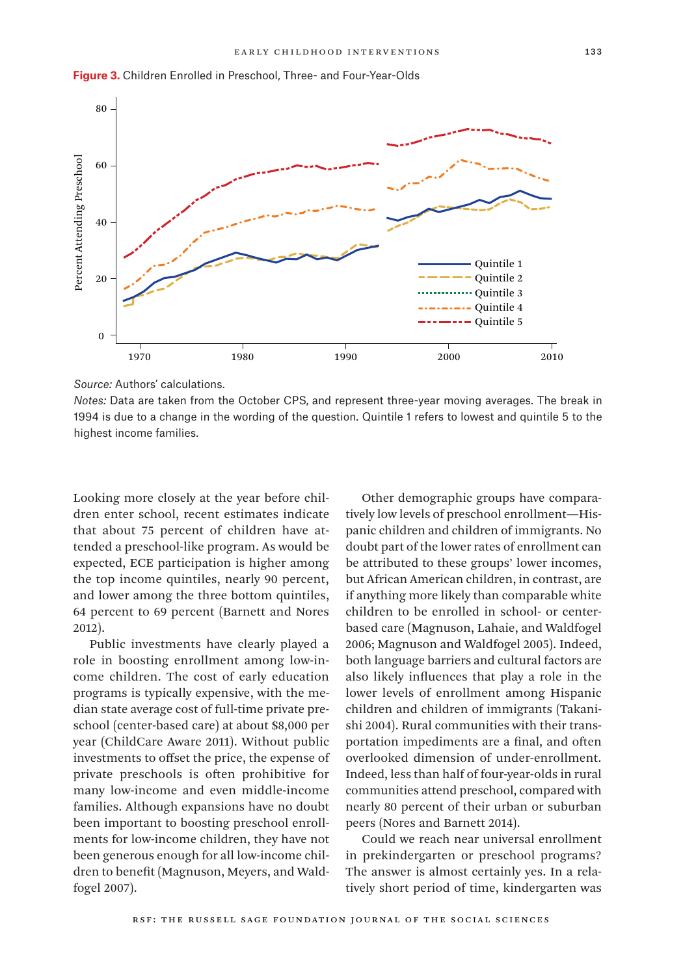



*Source:* Authors' calculations.

*Notes:* Data are taken from the October CPS, and represent three-year moving averages. The break in 1994 is due to a change in the wording of the question. Quintile 1 refers to lowest and quintile 5 to the highest income families.

Looking more closely at the year before children enter school, recent estimates indicate that about 75 percent of children have attended a preschool-like program. As would be expected, ECE participation is higher among the top income quintiles, nearly 90 percent, and lower among the three bottom quintiles, 64 percent to 69 percent (Barnett and Nores 2012).

Public investments have clearly played a role in boosting enrollment among low-income children. The cost of early education programs is typically expensive, with the median state average cost of full-time private preschool (center-based care) at about \$8,000 per year (ChildCare Aware 2011). Without public investments to offset the price, the expense of private preschools is often prohibitive for many low-income and even middle-income families. Although expansions have no doubt been important to boosting preschool enrollments for low-income children, they have not been generous enough for all low-income children to benefit (Magnuson, Meyers, and Waldfogel 2007).

Other demographic groups have comparatively low levels of preschool enrollment—Hispanic children and children of immigrants. No doubt part of the lower rates of enrollment can be attributed to these groups' lower incomes, but African American children, in contrast, are if anything more likely than comparable white children to be enrolled in school- or centerbased care (Magnuson, Lahaie, and Waldfogel 2006; Magnuson and Waldfogel 2005). Indeed, both language barriers and cultural factors are also likely influences that play a role in the lower levels of enrollment among Hispanic children and children of immigrants (Takanishi 2004). Rural communities with their transportation impediments are a final, and often overlooked dimension of under-enrollment. Indeed, less than half of four-year-olds in rural communities attend preschool, compared with nearly 80 percent of their urban or suburban peers (Nores and Barnett 2014).

Could we reach near universal enrollment in prekindergarten or preschool programs? The answer is almost certainly yes. In a relatively short period of time, kindergarten was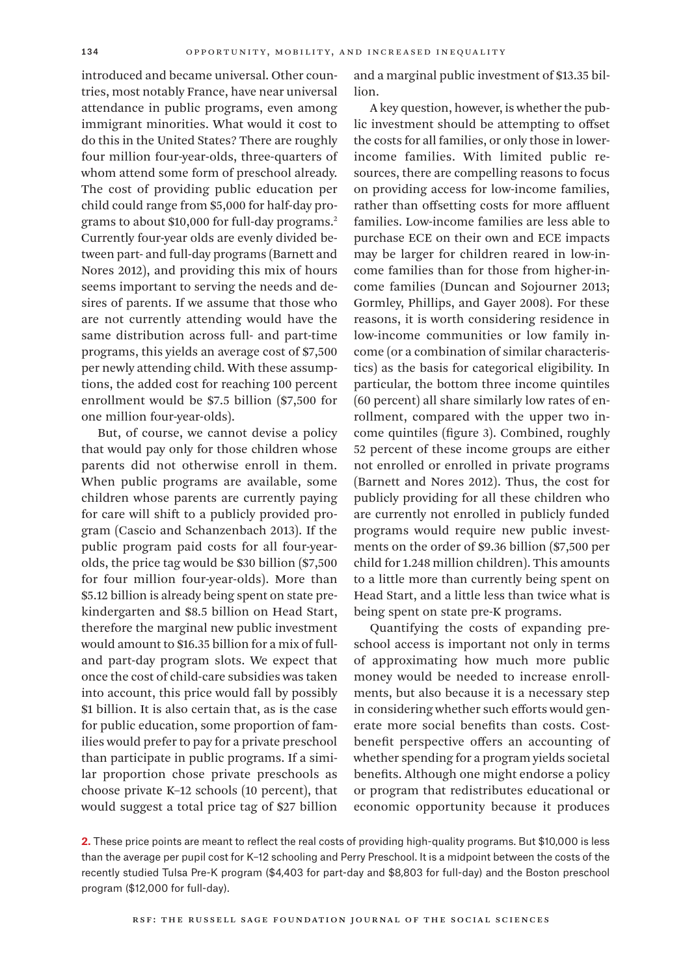introduced and became universal. Other countries, most notably France, have near universal attendance in public programs, even among immigrant minorities. What would it cost to do this in the United States? There are roughly four million four-year-olds, three-quarters of whom attend some form of preschool already. The cost of providing public education per child could range from \$5,000 for half-day programs to about \$10,000 for full-day programs.2 Currently four-year olds are evenly divided between part- and full-day programs (Barnett and Nores 2012), and providing this mix of hours seems important to serving the needs and desires of parents. If we assume that those who are not currently attending would have the same distribution across full- and part-time programs, this yields an average cost of \$7,500 per newly attending child. With these assumptions, the added cost for reaching 100 percent enrollment would be \$7.5 billion (\$7,500 for one million four-year-olds).

But, of course, we cannot devise a policy that would pay only for those children whose parents did not otherwise enroll in them. When public programs are available, some children whose parents are currently paying for care will shift to a publicly provided program (Cascio and Schanzenbach 2013). If the public program paid costs for all four-yearolds, the price tag would be \$30 billion (\$7,500 for four million four-year-olds). More than \$5.12 billion is already being spent on state prekindergarten and \$8.5 billion on Head Start, therefore the marginal new public investment would amount to \$16.35 billion for a mix of fulland part-day program slots. We expect that once the cost of child-care subsidies was taken into account, this price would fall by possibly \$1 billion. It is also certain that, as is the case for public education, some proportion of families would prefer to pay for a private preschool than participate in public programs. If a similar proportion chose private preschools as choose private K–12 schools (10 percent), that would suggest a total price tag of \$27 billion

and a marginal public investment of \$13.35 billion.

A key question, however, is whether the public investment should be attempting to offset the costs for all families, or only those in lowerincome families. With limited public resources, there are compelling reasons to focus on providing access for low-income families, rather than offsetting costs for more affluent families. Low-income families are less able to purchase ECE on their own and ECE impacts may be larger for children reared in low-income families than for those from higher-income families (Duncan and Sojourner 2013; Gormley, Phillips, and Gayer 2008). For these reasons, it is worth considering residence in low-income communities or low family income (or a combination of similar characteristics) as the basis for categorical eligibility. In particular, the bottom three income quintiles (60 percent) all share similarly low rates of enrollment, compared with the upper two income quintiles (figure 3). Combined, roughly 52 percent of these income groups are either not enrolled or enrolled in private programs (Barnett and Nores 2012). Thus, the cost for publicly providing for all these children who are currently not enrolled in publicly funded programs would require new public investments on the order of \$9.36 billion (\$7,500 per child for 1.248 million children). This amounts to a little more than currently being spent on Head Start, and a little less than twice what is being spent on state pre-K programs.

Quantifying the costs of expanding preschool access is important not only in terms of approximating how much more public money would be needed to increase enrollments, but also because it is a necessary step in considering whether such efforts would generate more social benefits than costs. Costbenefit perspective offers an accounting of whether spending for a program yields societal benefits. Although one might endorse a policy or program that redistributes educational or economic opportunity because it produces

**2.** These price points are meant to reflect the real costs of providing high-quality programs. But \$10,000 is less than the average per pupil cost for K–12 schooling and Perry Preschool. It is a midpoint between the costs of the recently studied Tulsa Pre-K program (\$4,403 for part-day and \$8,803 for full-day) and the Boston preschool program (\$12,000 for full-day).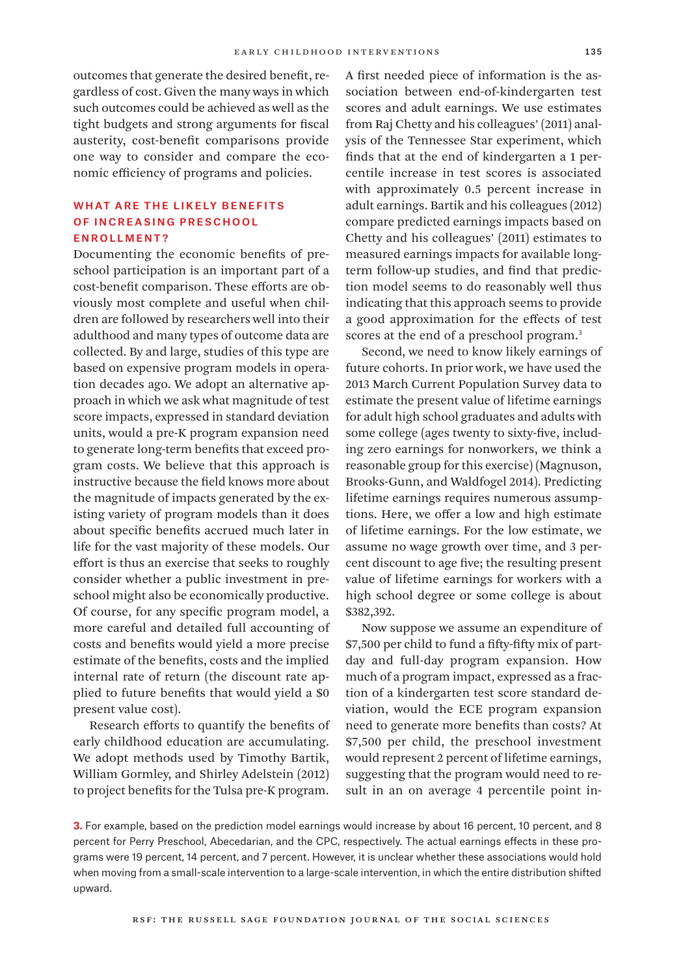outcomes that generate the desired benefit, regardless of cost. Given the many ways in which such outcomes could be achieved as well as the tight budgets and strong arguments for fiscal austerity, cost-benefit comparisons provide one way to consider and compare the economic efficiency of programs and policies.

# WHAT ARE THE LIKELY BENEFITS of Increasing Preschool Enrollment?

Documenting the economic benefits of preschool participation is an important part of a cost-benefit comparison. These efforts are obviously most complete and useful when children are followed by researchers well into their adulthood and many types of outcome data are collected. By and large, studies of this type are based on expensive program models in operation decades ago. We adopt an alternative approach in which we ask what magnitude of test score impacts, expressed in standard deviation units, would a pre-K program expansion need to generate long-term benefits that exceed program costs. We believe that this approach is instructive because the field knows more about the magnitude of impacts generated by the existing variety of program models than it does about specific benefits accrued much later in life for the vast majority of these models. Our effort is thus an exercise that seeks to roughly consider whether a public investment in preschool might also be economically productive. Of course, for any specific program model, a more careful and detailed full accounting of costs and benefits would yield a more precise estimate of the benefits, costs and the implied internal rate of return (the discount rate applied to future benefits that would yield a \$0 present value cost).

Research efforts to quantify the benefits of early childhood education are accumulating. We adopt methods used by Timothy Bartik, William Gormley, and Shirley Adelstein (2012) to project benefits for the Tulsa pre-K program.

A first needed piece of information is the association between end-of-kindergarten test scores and adult earnings. We use estimates from Raj Chetty and his colleagues' (2011) analysis of the Tennessee Star experiment, which finds that at the end of kindergarten a 1 percentile increase in test scores is associated with approximately 0.5 percent increase in adult earnings. Bartik and his colleagues (2012) compare predicted earnings impacts based on Chetty and his colleagues' (2011) estimates to measured earnings impacts for available longterm follow-up studies, and find that prediction model seems to do reasonably well thus indicating that this approach seems to provide a good approximation for the effects of test scores at the end of a preschool program.<sup>3</sup>

Second, we need to know likely earnings of future cohorts. In prior work, we have used the 2013 March Current Population Survey data to estimate the present value of lifetime earnings for adult high school graduates and adults with some college (ages twenty to sixty-five, including zero earnings for nonworkers, we think a reasonable group for this exercise) (Magnuson, Brooks-Gunn, and Waldfogel 2014). Predicting lifetime earnings requires numerous assumptions. Here, we offer a low and high estimate of lifetime earnings. For the low estimate, we assume no wage growth over time, and 3 percent discount to age five; the resulting present value of lifetime earnings for workers with a high school degree or some college is about \$382,392.

Now suppose we assume an expenditure of \$7,500 per child to fund a fifty-fifty mix of partday and full-day program expansion. How much of a program impact, expressed as a fraction of a kindergarten test score standard deviation, would the ECE program expansion need to generate more benefits than costs? At \$7,500 per child, the preschool investment would represent 2 percent of lifetime earnings, suggesting that the program would need to result in an on average 4 percentile point in-

**3.** For example, based on the prediction model earnings would increase by about 16 percent, 10 percent, and 8 percent for Perry Preschool, Abecedarian, and the CPC, respectively. The actual earnings effects in these programs were 19 percent, 14 percent, and 7 percent. However, it is unclear whether these associations would hold when moving from a small-scale intervention to a large-scale intervention, in which the entire distribution shifted upward.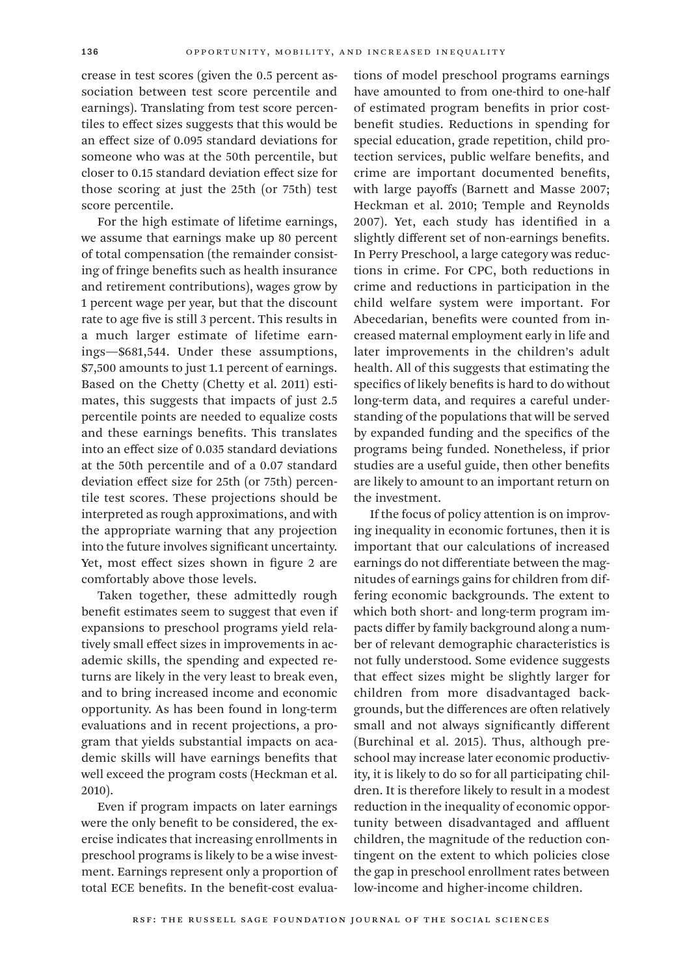crease in test scores (given the 0.5 percent association between test score percentile and earnings). Translating from test score percentiles to effect sizes suggests that this would be an effect size of 0.095 standard deviations for someone who was at the 50th percentile, but closer to 0.15 standard deviation effect size for those scoring at just the 25th (or 75th) test score percentile.

For the high estimate of lifetime earnings, we assume that earnings make up 80 percent of total compensation (the remainder consisting of fringe benefits such as health insurance and retirement contributions), wages grow by 1 percent wage per year, but that the discount rate to age five is still 3 percent. This results in a much larger estimate of lifetime earnings—\$681,544. Under these assumptions, \$7,500 amounts to just 1.1 percent of earnings. Based on the Chetty (Chetty et al. 2011) estimates, this suggests that impacts of just 2.5 percentile points are needed to equalize costs and these earnings benefits. This translates into an effect size of 0.035 standard deviations at the 50th percentile and of a 0.07 standard deviation effect size for 25th (or 75th) percentile test scores. These projections should be interpreted as rough approximations, and with the appropriate warning that any projection into the future involves significant uncertainty. Yet, most effect sizes shown in figure 2 are comfortably above those levels.

Taken together, these admittedly rough benefit estimates seem to suggest that even if expansions to preschool programs yield relatively small effect sizes in improvements in academic skills, the spending and expected returns are likely in the very least to break even, and to bring increased income and economic opportunity. As has been found in long-term evaluations and in recent projections, a program that yields substantial impacts on academic skills will have earnings benefits that well exceed the program costs (Heckman et al. 2010).

Even if program impacts on later earnings were the only benefit to be considered, the exercise indicates that increasing enrollments in preschool programs is likely to be a wise investment. Earnings represent only a proportion of total ECE benefits. In the benefit-cost evaluations of model preschool programs earnings have amounted to from one-third to one-half of estimated program benefits in prior costbenefit studies. Reductions in spending for special education, grade repetition, child protection services, public welfare benefits, and crime are important documented benefits, with large payoffs (Barnett and Masse 2007; Heckman et al. 2010; Temple and Reynolds 2007). Yet, each study has identified in a slightly different set of non-earnings benefits. In Perry Preschool, a large category was reductions in crime. For CPC, both reductions in crime and reductions in participation in the child welfare system were important. For Abecedarian, benefits were counted from increased maternal employment early in life and later improvements in the children's adult health. All of this suggests that estimating the specifics of likely benefits is hard to do without long-term data, and requires a careful understanding of the populations that will be served by expanded funding and the specifics of the programs being funded. Nonetheless, if prior studies are a useful guide, then other benefits are likely to amount to an important return on the investment.

If the focus of policy attention is on improving inequality in economic fortunes, then it is important that our calculations of increased earnings do not differentiate between the magnitudes of earnings gains for children from differing economic backgrounds. The extent to which both short- and long-term program impacts differ by family background along a number of relevant demographic characteristics is not fully understood. Some evidence suggests that effect sizes might be slightly larger for children from more disadvantaged backgrounds, but the differences are often relatively small and not always significantly different (Burchinal et al. 2015). Thus, although preschool may increase later economic productivity, it is likely to do so for all participating children. It is therefore likely to result in a modest reduction in the inequality of economic opportunity between disadvantaged and affluent children, the magnitude of the reduction contingent on the extent to which policies close the gap in preschool enrollment rates between low-income and higher-income children.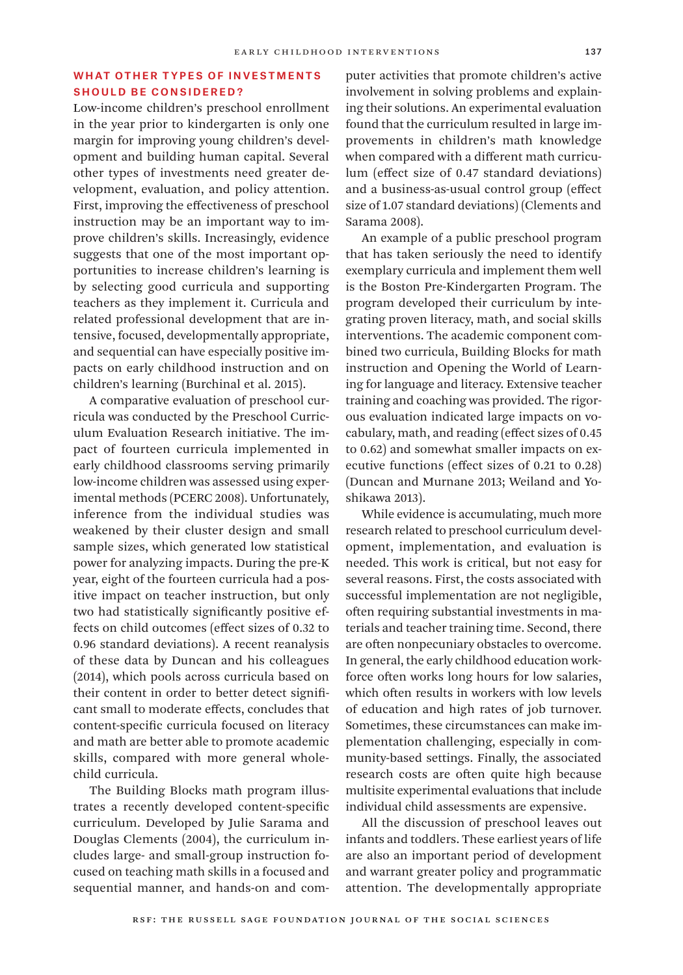# WHAT OTHER TYPES OF INVESTMENTS Should Be Considered?

Low-income children's preschool enrollment in the year prior to kindergarten is only one margin for improving young children's development and building human capital. Several other types of investments need greater development, evaluation, and policy attention. First, improving the effectiveness of preschool instruction may be an important way to improve children's skills. Increasingly, evidence suggests that one of the most important opportunities to increase children's learning is by selecting good curricula and supporting teachers as they implement it. Curricula and related professional development that are intensive, focused, developmentally appropriate, and sequential can have especially positive impacts on early childhood instruction and on children's learning (Burchinal et al. 2015).

A comparative evaluation of preschool curricula was conducted by the Preschool Curriculum Evaluation Research initiative. The impact of fourteen curricula implemented in early childhood classrooms serving primarily low-income children was assessed using experimental methods (PCERC 2008). Unfortunately, inference from the individual studies was weakened by their cluster design and small sample sizes, which generated low statistical power for analyzing impacts. During the pre-K year, eight of the fourteen curricula had a positive impact on teacher instruction, but only two had statistically significantly positive effects on child outcomes (effect sizes of 0.32 to 0.96 standard deviations). A recent reanalysis of these data by Duncan and his colleagues (2014), which pools across curricula based on their content in order to better detect significant small to moderate effects, concludes that content-specific curricula focused on literacy and math are better able to promote academic skills, compared with more general wholechild curricula.

The Building Blocks math program illustrates a recently developed content-specific curriculum. Developed by Julie Sarama and Douglas Clements (2004), the curriculum includes large- and small-group instruction focused on teaching math skills in a focused and sequential manner, and hands-on and computer activities that promote children's active involvement in solving problems and explaining their solutions. An experimental evaluation found that the curriculum resulted in large improvements in children's math knowledge when compared with a different math curriculum (effect size of 0.47 standard deviations) and a business-as-usual control group (effect size of 1.07 standard deviations) (Clements and Sarama 2008).

An example of a public preschool program that has taken seriously the need to identify exemplary curricula and implement them well is the Boston Pre-Kindergarten Program. The program developed their curriculum by integrating proven literacy, math, and social skills interventions. The academic component combined two curricula, Building Blocks for math instruction and Opening the World of Learning for language and literacy. Extensive teacher training and coaching was provided. The rigorous evaluation indicated large impacts on vocabulary, math, and reading (effect sizes of 0.45 to 0.62) and somewhat smaller impacts on executive functions (effect sizes of 0.21 to 0.28) (Duncan and Murnane 2013; Weiland and Yoshikawa 2013).

While evidence is accumulating, much more research related to preschool curriculum development, implementation, and evaluation is needed. This work is critical, but not easy for several reasons. First, the costs associated with successful implementation are not negligible, often requiring substantial investments in materials and teacher training time. Second, there are often nonpecuniary obstacles to overcome. In general, the early childhood education workforce often works long hours for low salaries, which often results in workers with low levels of education and high rates of job turnover. Sometimes, these circumstances can make implementation challenging, especially in community-based settings. Finally, the associated research costs are often quite high because multisite experimental evaluations that include individual child assessments are expensive.

All the discussion of preschool leaves out infants and toddlers. These earliest years of life are also an important period of development and warrant greater policy and programmatic attention. The developmentally appropriate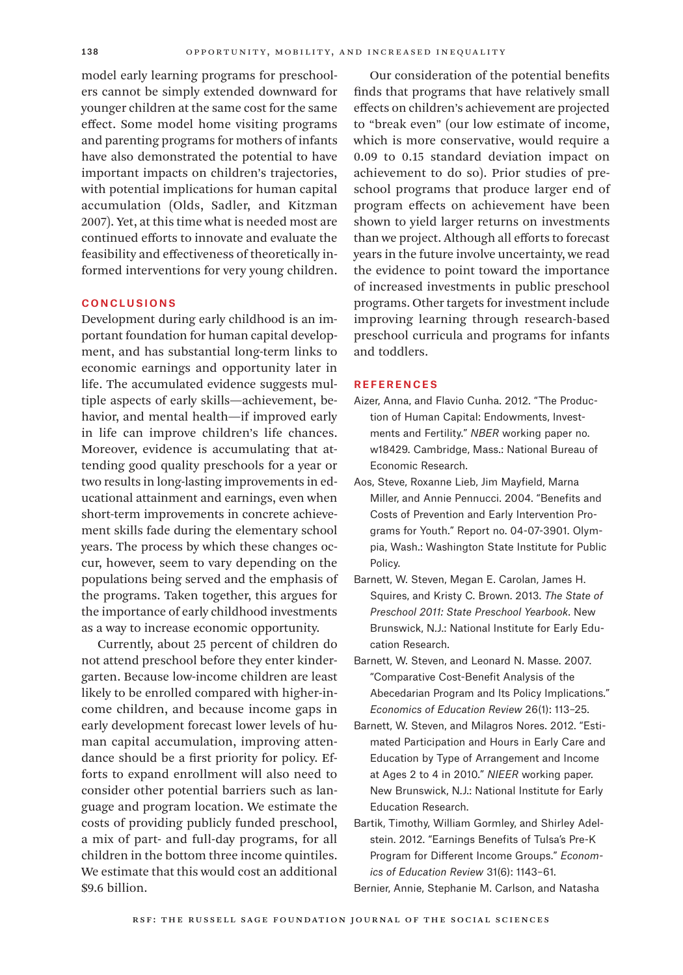model early learning programs for preschoolers cannot be simply extended downward for younger children at the same cost for the same effect. Some model home visiting programs and parenting programs for mothers of infants have also demonstrated the potential to have important impacts on children's trajectories, with potential implications for human capital accumulation (Olds, Sadler, and Kitzman 2007). Yet, at this time what is needed most are continued efforts to innovate and evaluate the feasibility and effectiveness of theoretically informed interventions for very young children.

#### **CONCLUSIONS**

Development during early childhood is an important foundation for human capital development, and has substantial long-term links to economic earnings and opportunity later in life. The accumulated evidence suggests multiple aspects of early skills—achievement, behavior, and mental health—if improved early in life can improve children's life chances. Moreover, evidence is accumulating that attending good quality preschools for a year or two results in long-lasting improvements in educational attainment and earnings, even when short-term improvements in concrete achievement skills fade during the elementary school years. The process by which these changes occur, however, seem to vary depending on the populations being served and the emphasis of the programs. Taken together, this argues for the importance of early childhood investments as a way to increase economic opportunity.

Currently, about 25 percent of children do not attend preschool before they enter kindergarten. Because low-income children are least likely to be enrolled compared with higher-income children, and because income gaps in early development forecast lower levels of human capital accumulation, improving attendance should be a first priority for policy. Efforts to expand enrollment will also need to consider other potential barriers such as language and program location. We estimate the costs of providing publicly funded preschool, a mix of part- and full-day programs, for all children in the bottom three income quintiles. We estimate that this would cost an additional \$9.6 billion.

Our consideration of the potential benefits finds that programs that have relatively small effects on children's achievement are projected to "break even" (our low estimate of income, which is more conservative, would require a 0.09 to 0.15 standard deviation impact on achievement to do so). Prior studies of preschool programs that produce larger end of program effects on achievement have been shown to yield larger returns on investments than we project. Although all efforts to forecast years in the future involve uncertainty, we read the evidence to point toward the importance of increased investments in public preschool programs. Other targets for investment include improving learning through research-based preschool curricula and programs for infants and toddlers.

#### References

- Aizer, Anna, and Flavio Cunha. 2012. "The Production of Human Capital: Endowments, Investments and Fertility." *NBER* working paper no. w18429. Cambridge, Mass.: National Bureau of Economic Research.
- Aos, Steve, Roxanne Lieb, Jim Mayfield, Marna Miller, and Annie Pennucci. 2004. "Benefits and Costs of Prevention and Early Intervention Programs for Youth." Report no. 04-07-3901. Olympia, Wash.: Washington State Institute for Public Policy.
- Barnett, W. Steven, Megan E. Carolan, James H. Squires, and Kristy C. Brown. 2013. *The State of Preschool 2011: State Preschool Yearbook*. New Brunswick, N.J.: National Institute for Early Education Research.
- Barnett, W. Steven, and Leonard N. Masse. 2007. "Comparative Cost-Benefit Analysis of the Abecedarian Program and Its Policy Implications." *Economics of Education Review* 26(1): 113–25.
- Barnett, W. Steven, and Milagros Nores. 2012. "Estimated Participation and Hours in Early Care and Education by Type of Arrangement and Income at Ages 2 to 4 in 2010." *NIEER* working paper. New Brunswick, N.J.: National Institute for Early Education Research.
- Bartik, Timothy, William Gormley, and Shirley Adelstein. 2012. "Earnings Benefits of Tulsa's Pre-K Program for Different Income Groups." *Economics of Education Review* 31(6): 1143–61.

Bernier, Annie, Stephanie M. Carlson, and Natasha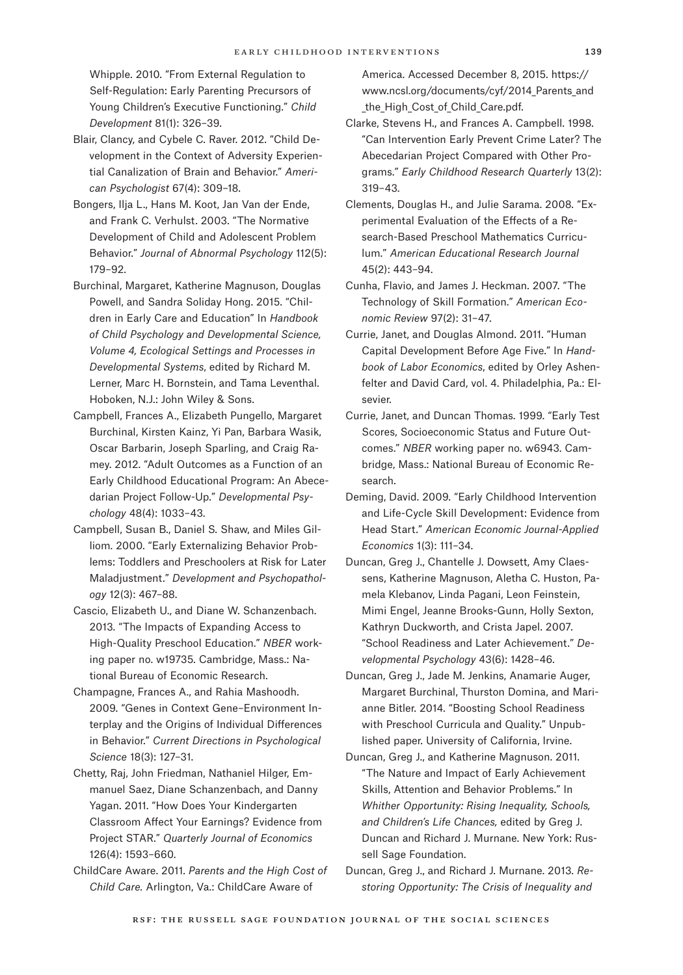Whipple. 2010. "From External Regulation to Self-Regulation: Early Parenting Precursors of Young Children's Executive Functioning." *Child Development* 81(1): 326–39.

- Blair, Clancy, and Cybele C. Raver. 2012. "Child Development in the Context of Adversity Experiential Canalization of Brain and Behavior." *American Psychologist* 67(4): 309–18.
- Bongers, Ilja L., Hans M. Koot, Jan Van der Ende, and Frank C. Verhulst. 2003. "The Normative Development of Child and Adolescent Problem Behavior." *Journal of Abnormal Psychology* 112(5): 179–92.
- Burchinal, Margaret, Katherine Magnuson, Douglas Powell, and Sandra Soliday Hong. 2015. "Children in Early Care and Education" In *Handbook of Child Psychology and Developmental Science, Volume 4, Ecological Settings and Processes in Developmental Systems*, edited by Richard M. Lerner, Marc H. Bornstein, and Tama Leventhal. Hoboken, N.J.: John Wiley & Sons.
- Campbell, Frances A., Elizabeth Pungello, Margaret Burchinal, Kirsten Kainz, Yi Pan, Barbara Wasik, Oscar Barbarin, Joseph Sparling, and Craig Ramey. 2012. "Adult Outcomes as a Function of an Early Childhood Educational Program: An Abecedarian Project Follow-Up." *Developmental Psychology* 48(4): 1033–43.
- Campbell, Susan B., Daniel S. Shaw, and Miles Gilliom. 2000. "Early Externalizing Behavior Problems: Toddlers and Preschoolers at Risk for Later Maladjustment." *Development and Psychopathology* 12(3): 467–88.
- Cascio, Elizabeth U., and Diane W. Schanzenbach. 2013. "The Impacts of Expanding Access to High-Quality Preschool Education." *NBER* working paper no. w19735. Cambridge, Mass.: National Bureau of Economic Research.
- Champagne, Frances A., and Rahia Mashoodh. 2009. "Genes in Context Gene–Environment Interplay and the Origins of Individual Differences in Behavior." *Current Directions in Psychological Science* 18(3): 127–31.
- Chetty, Raj, John Friedman, Nathaniel Hilger, Emmanuel Saez, Diane Schanzenbach, and Danny Yagan. 2011. "How Does Your Kindergarten Classroom Affect Your Earnings? Evidence from Project STAR." *Quarterly Journal of Economics* 126(4): 1593–660.
- ChildCare Aware. 2011. *Parents and the High Cost of Child Care.* Arlington, Va.: ChildCare Aware of

America. Accessed December 8, 2015. [https://](https://www.ncsl.org/documents/cyf/2014_Parents_and_the_High_Cost_of_Child_Care.pdf.) www.ncsl.org/documents/cyf/2014 Parents and the High Cost of Child Care.pdf.

- Clarke, Stevens H., and Frances A. Campbell. 1998. "Can Intervention Early Prevent Crime Later? The Abecedarian Project Compared with Other Programs." *Early Childhood Research Quarterly* 13(2): 319–43.
- Clements, Douglas H., and Julie Sarama. 2008. "Experimental Evaluation of the Effects of a Research-Based Preschool Mathematics Curriculum." *American Educational Research Journal*  45(2): 443–94.
- Cunha, Flavio, and James J. Heckman. 2007. "The Technology of Skill Formation." *American Economic Review* 97(2): 31–47.
- Currie, Janet, and Douglas Almond. 2011. "Human Capital Development Before Age Five." In *Handbook of Labor Economics*, edited by Orley Ashenfelter and David Card, vol. 4. Philadelphia, Pa.: Elsevier.
- Currie, Janet, and Duncan Thomas. 1999. "Early Test Scores, Socioeconomic Status and Future Outcomes." *NBER* working paper no. w6943. Cambridge, Mass.: National Bureau of Economic Research.
- Deming, David. 2009. "Early Childhood Intervention and Life-Cycle Skill Development: Evidence from Head Start." *American Economic Journal-Applied Economics* 1(3): 111–34.
- Duncan, Greg J., Chantelle J. Dowsett, Amy Claessens, Katherine Magnuson, Aletha C. Huston, Pamela Klebanov, Linda Pagani, Leon Feinstein, Mimi Engel, Jeanne Brooks-Gunn, Holly Sexton, Kathryn Duckworth, and Crista Japel. 2007. "School Readiness and Later Achievement." *Developmental Psychology* 43(6): 1428–46.
- Duncan, Greg J., Jade M. Jenkins, Anamarie Auger, Margaret Burchinal, Thurston Domina, and Marianne Bitler. 2014. "Boosting School Readiness with Preschool Curricula and Quality." Unpublished paper. University of California, Irvine.
- Duncan, Greg J., and Katherine Magnuson. 2011. "The Nature and Impact of Early Achievement Skills, Attention and Behavior Problems." In *Whither Opportunity: Rising Inequality, Schools, and Children's Life Chances,* edited by Greg J. Duncan and Richard J. Murnane. New York: Russell Sage Foundation.
- Duncan, Greg J., and Richard J. Murnane. 2013. *Restoring Opportunity: The Crisis of Inequality and*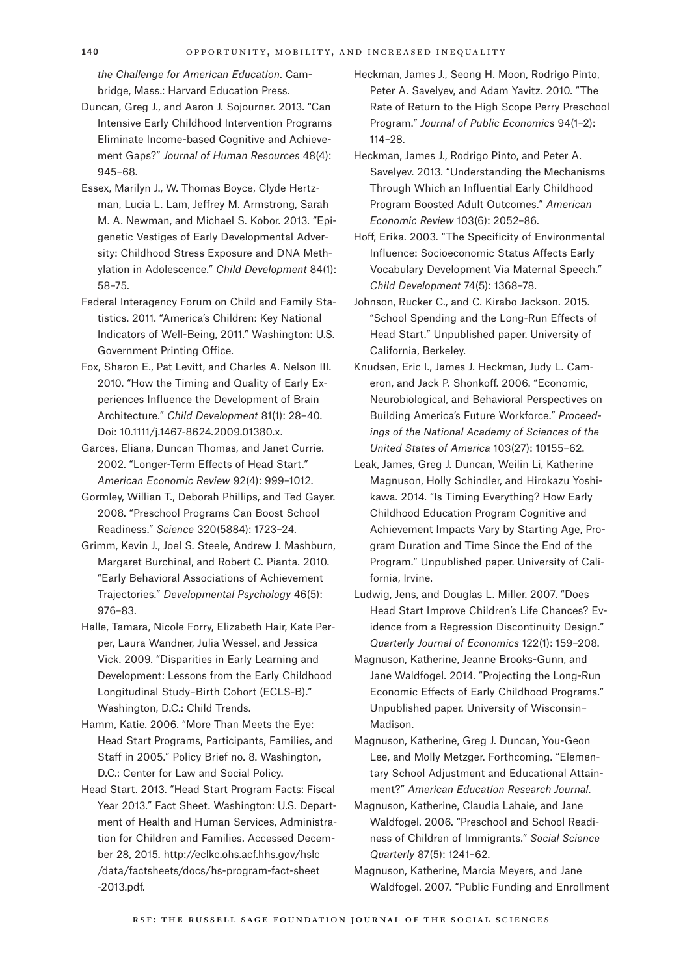*the Challenge for American Education*. Cambridge, Mass.: Harvard Education Press.

- Duncan, Greg J., and Aaron J. Sojourner. 2013. "Can Intensive Early Childhood Intervention Programs Eliminate Income-based Cognitive and Achievement Gaps?" *Journal of Human Resources* 48(4): 945–68.
- Essex, Marilyn J., W. Thomas Boyce, Clyde Hertzman, Lucia L. Lam, Jeffrey M. Armstrong, Sarah M. A. Newman, and Michael S. Kobor. 2013. "Epigenetic Vestiges of Early Developmental Adversity: Childhood Stress Exposure and DNA Methylation in Adolescence." *Child Development* 84(1): 58–75.
- Federal Interagency Forum on Child and Family Statistics. 2011. "America's Children: Key National Indicators of Well-Being, 2011." Washington: U.S. Government Printing Office.
- Fox, Sharon E., Pat Levitt, and Charles A. Nelson III. 2010. "How the Timing and Quality of Early Experiences Influence the Development of Brain Architecture." *Child Development* 81(1): 28–40. Doi: 10.1111/j.1467-8624.2009.01380.x.
- Garces, Eliana, Duncan Thomas, and Janet Currie. 2002. "Longer-Term Effects of Head Start." *American Economic Review* 92(4): 999–1012.
- Gormley, Willian T., Deborah Phillips, and Ted Gayer. 2008. "Preschool Programs Can Boost School Readiness." *Science* 320(5884): 1723–24.
- Grimm, Kevin J., Joel S. Steele, Andrew J. Mashburn, Margaret Burchinal, and Robert C. Pianta. 2010. "Early Behavioral Associations of Achievement Trajectories." *Developmental Psychology* 46(5): 976–83.
- Halle, Tamara, Nicole Forry, Elizabeth Hair, Kate Perper, Laura Wandner, Julia Wessel, and Jessica Vick. 2009. "Disparities in Early Learning and Development: Lessons from the Early Childhood Longitudinal Study–Birth Cohort (ECLS-B)." Washington, D.C.: Child Trends.
- Hamm, Katie. 2006. "More Than Meets the Eye: Head Start Programs, Participants, Families, and Staff in 2005." Policy Brief no. 8. Washington, D.C.: Center for Law and Social Policy.
- Head Start. 2013. "Head Start Program Facts: Fiscal Year 2013." Fact Sheet. Washington: U.S. Department of Health and Human Services, Administration for Children and Families. Accessed December 28, 2015. [http://eclkc.ohs.acf.hhs.gov/hslc](http://eclkc.ohs.acf.hhs.gov/hslc/data/factsheets/docs/hs-program-fact-sheet-2013.pdf.) [/data/factsheets/docs/hs-program-fact-sheet](http://eclkc.ohs.acf.hhs.gov/hslc/data/factsheets/docs/hs-program-fact-sheet-2013.pdf.)  [-2013.pdf.](http://eclkc.ohs.acf.hhs.gov/hslc/data/factsheets/docs/hs-program-fact-sheet-2013.pdf.)
- Heckman, James J., Seong H. Moon, Rodrigo Pinto, Peter A. Savelyev, and Adam Yavitz. 2010. "The Rate of Return to the High Scope Perry Preschool Program." *Journal of Public Economics* 94(1–2): 114–28.
- Heckman, James J., Rodrigo Pinto, and Peter A. Savelyev. 2013. "Understanding the Mechanisms Through Which an Influential Early Childhood Program Boosted Adult Outcomes." *American Economic Review* 103(6): 2052–86.
- Hoff, Erika. 2003. "The Specificity of Environmental Influence: Socioeconomic Status Affects Early Vocabulary Development Via Maternal Speech." *Child Development* 74(5): 1368–78.
- Johnson, Rucker C., and C. Kirabo Jackson. 2015. "School Spending and the Long-Run Effects of Head Start." Unpublished paper. University of California, Berkeley.
- Knudsen, Eric I., James J. Heckman, Judy L. Cameron, and Jack P. Shonkoff. 2006. "Economic, Neurobiological, and Behavioral Perspectives on Building America's Future Workforce." *Proceedings of the National Academy of Sciences of the United States of America* 103(27): 10155–62.
- Leak, James, Greg J. Duncan, Weilin Li, Katherine Magnuson, Holly Schindler, and Hirokazu Yoshikawa. 2014. "Is Timing Everything? How Early Childhood Education Program Cognitive and Achievement Impacts Vary by Starting Age, Program Duration and Time Since the End of the Program." Unpublished paper. University of California, Irvine.
- Ludwig, Jens, and Douglas L. Miller. 2007. "Does Head Start Improve Children's Life Chances? Evidence from a Regression Discontinuity Design." *Quarterly Journal of Economics* 122(1): 159–208.
- Magnuson, Katherine, Jeanne Brooks-Gunn, and Jane Waldfogel. 2014. "Projecting the Long-Run Economic Effects of Early Childhood Programs." Unpublished paper. University of Wisconsin– Madison.
- Magnuson, Katherine, Greg J. Duncan, You-Geon Lee, and Molly Metzger. Forthcoming. "Elementary School Adjustment and Educational Attainment?" *American Education Research Journal*.
- Magnuson, Katherine, Claudia Lahaie, and Jane Waldfogel. 2006. "Preschool and School Readiness of Children of Immigrants." *Social Science Quarterly* 87(5): 1241–62.
- Magnuson, Katherine, Marcia Meyers, and Jane Waldfogel. 2007. "Public Funding and Enrollment